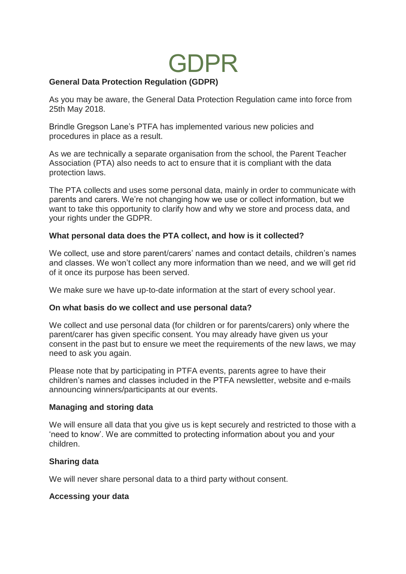# GDPR

## **General Data Protection Regulation (GDPR)**

As you may be aware, the General Data Protection Regulation came into force from 25th May 2018.

Brindle Gregson Lane's PTFA has implemented various new policies and procedures in place as a result.

As we are technically a separate organisation from the school, the Parent Teacher Association (PTA) also needs to act to ensure that it is compliant with the data protection laws.

The PTA collects and uses some personal data, mainly in order to communicate with parents and carers. We're not changing how we use or collect information, but we want to take this opportunity to clarify how and why we store and process data, and your rights under the GDPR.

### **What personal data does the PTA collect, and how is it collected?**

We collect, use and store parent/carers' names and contact details, children's names and classes. We won't collect any more information than we need, and we will get rid of it once its purpose has been served.

We make sure we have up-to-date information at the start of every school year.

## **On what basis do we collect and use personal data?**

We collect and use personal data (for children or for parents/carers) only where the parent/carer has given specific consent. You may already have given us your consent in the past but to ensure we meet the requirements of the new laws, we may need to ask you again.

Please note that by participating in PTFA events, parents agree to have their children's names and classes included in the PTFA newsletter, website and e-mails announcing winners/participants at our events.

#### **Managing and storing data**

We will ensure all data that you give us is kept securely and restricted to those with a 'need to know'. We are committed to protecting information about you and your children.

## **Sharing data**

We will never share personal data to a third party without consent.

## **Accessing your data**